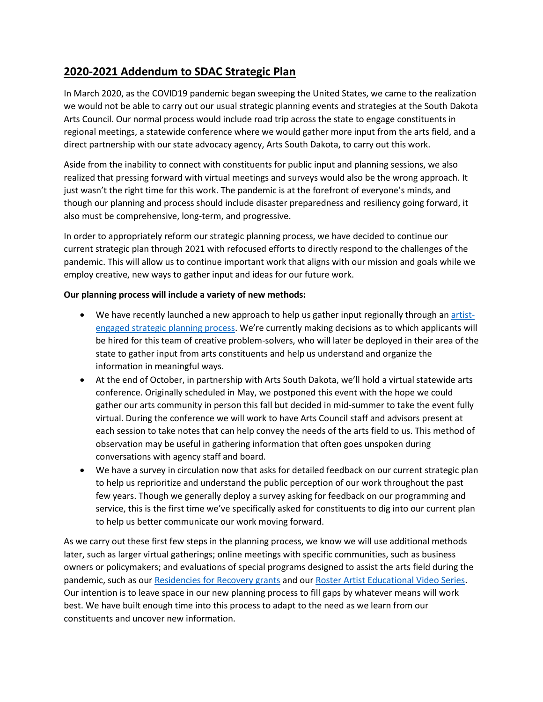# **2020-2021 Addendum to SDAC Strategic Plan**

In March 2020, as the COVID19 pandemic began sweeping the United States, we came to the realization we would not be able to carry out our usual strategic planning events and strategies at the South Dakota Arts Council. Our normal process would include road trip across the state to engage constituents in regional meetings, a statewide conference where we would gather more input from the arts field, and a direct partnership with our state advocacy agency, Arts South Dakota, to carry out this work.

Aside from the inability to connect with constituents for public input and planning sessions, we also realized that pressing forward with virtual meetings and surveys would also be the wrong approach. It just wasn't the right time for this work. The pandemic is at the forefront of everyone's minds, and though our planning and process should include disaster preparedness and resiliency going forward, it also must be comprehensive, long-term, and progressive.

In order to appropriately reform our strategic planning process, we have decided to continue our current strategic plan through 2021 with refocused efforts to directly respond to the challenges of the pandemic. This will allow us to continue important work that aligns with our mission and goals while we employ creative, new ways to gather input and ideas for our future work.

#### **Our planning process will include a variety of new methods:**

- We have recently launched a new approach to help us gather input regionally through a[n artist](https://artscouncil.sd.gov/SP_2020_Artist_RFP.pdf)[engaged strategic planning process](https://artscouncil.sd.gov/SP_2020_Artist_RFP.pdf). We're currently making decisions as to which applicants will be hired for this team of creative problem-solvers, who will later be deployed in their area of the state to gather input from arts constituents and help us understand and organize the information in meaningful ways.
- At the end of October, in partnership with Arts South Dakota, we'll hold a virtual statewide arts conference. Originally scheduled in May, we postponed this event with the hope we could gather our arts community in person this fall but decided in mid-summer to take the event fully virtual. During the conference we will work to have Arts Council staff and advisors present at each session to take notes that can help convey the needs of the arts field to us. This method of observation may be useful in gathering information that often goes unspoken during conversations with agency staff and board.
- We have a survey in circulation now that asks for detailed feedback on our current strategic plan to help us reprioritize and understand the public perception of our work throughout the past few years. Though we generally deploy a survey asking for feedback on our programming and service, this is the first time we've specifically asked for constituents to dig into our current plan to help us better communicate our work moving forward.

As we carry out these first few steps in the planning process, we know we will use additional methods later, such as larger virtual gatherings; online meetings with specific communities, such as business owners or policymakers; and evaluations of special programs designed to assist the arts field during the pandemic, such as our [Residencies for Recovery grants](https://artscouncil.sd.gov/Residencies_for_Recovery_Guidelines.pdf) and our [Roster Artist Educational Video Series.](https://www.youtube.com/playlist?list=PLT4a42VZ5YbWyr-6ZXWLqzW3eDmJnS0lT&fbclid=IwAR2G4JUTjVfbjKT4Ha9rC5oKPWrJvkEYcIZDbNcp5_TxBkQmF8i6H872uEw) Our intention is to leave space in our new planning process to fill gaps by whatever means will work best. We have built enough time into this process to adapt to the need as we learn from our constituents and uncover new information.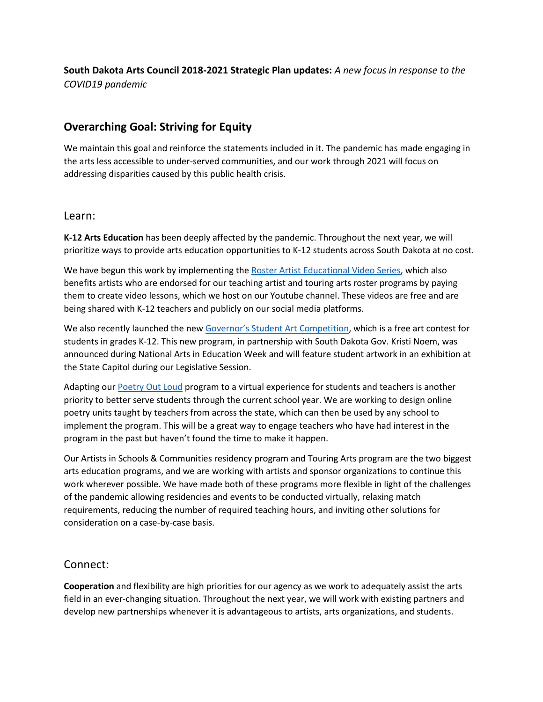## **South Dakota Arts Council 2018-2021 Strategic Plan updates:** *A new focus in response to the COVID19 pandemic*

## **Overarching Goal: Striving for Equity**

We maintain this goal and reinforce the statements included in it. The pandemic has made engaging in the arts less accessible to under-served communities, and our work through 2021 will focus on addressing disparities caused by this public health crisis.

#### Learn:

**K-12 Arts Education** has been deeply affected by the pandemic. Throughout the next year, we will prioritize ways to provide arts education opportunities to K-12 students across South Dakota at no cost.

We have begun this work by implementing th[e Roster Artist Educational Video Series,](https://www.youtube.com/playlist?list=PLT4a42VZ5YbWyr-6ZXWLqzW3eDmJnS0lT&fbclid=IwAR2G4JUTjVfbjKT4Ha9rC5oKPWrJvkEYcIZDbNcp5_TxBkQmF8i6H872uEw) which also benefits artists who are endorsed for our teaching artist and touring arts roster programs by paying them to create video lessons, which we host on our Youtube channel. These videos are free and are being shared with K-12 teachers and publicly on our social media platforms.

We also recently launched the new [Governor's Student Art Competition](https://artscouncil.sd.gov/events/student_art_Main.aspx), which is a free art contest for students in grades K-12. This new program, in partnership with South Dakota Gov. Kristi Noem, was announced during National Arts in Education Week and will feature student artwork in an exhibition at the State Capitol during our Legislative Session.

Adapting ou[r Poetry Out Loud](https://www.poetryoutloud.org/) program to a virtual experience for students and teachers is another priority to better serve students through the current school year. We are working to design online poetry units taught by teachers from across the state, which can then be used by any school to implement the program. This will be a great way to engage teachers who have had interest in the program in the past but haven't found the time to make it happen.

Our Artists in Schools & Communities residency program and Touring Arts program are the two biggest arts education programs, and we are working with artists and sponsor organizations to continue this work wherever possible. We have made both of these programs more flexible in light of the challenges of the pandemic allowing residencies and events to be conducted virtually, relaxing match requirements, reducing the number of required teaching hours, and inviting other solutions for consideration on a case-by-case basis.

## Connect:

**Cooperation** and flexibility are high priorities for our agency as we work to adequately assist the arts field in an ever-changing situation. Throughout the next year, we will work with existing partners and develop new partnerships whenever it is advantageous to artists, arts organizations, and students.